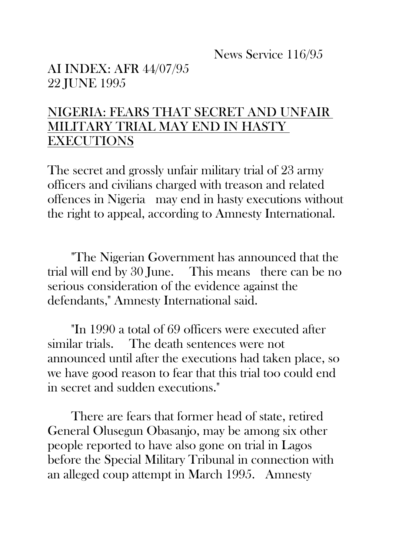News Service 116/95

AI INDEX: AFR 44/07/95 22 JUNE 1995

## NIGERIA: FEARS THAT SECRET AND UNFAIR MILITARY TRIAL MAY END IN HASTY EXECUTIONS

The secret and grossly unfair military trial of 23 army officers and civilians charged with treason and related offences in Nigeria may end in hasty executions without the right to appeal, according to Amnesty International.

"The Nigerian Government has announced that the trial will end by 30 June. This means there can be no serious consideration of the evidence against the defendants," Amnesty International said.

"In 1990 a total of 69 officers were executed after similar trials. The death sentences were not announced until after the executions had taken place, so we have good reason to fear that this trial too could end in secret and sudden executions."

There are fears that former head of state, retired General Olusegun Obasanjo, may be among six other people reported to have also gone on trial in Lagos before the Special Military Tribunal in connection with an alleged coup attempt in March 1995. Amnesty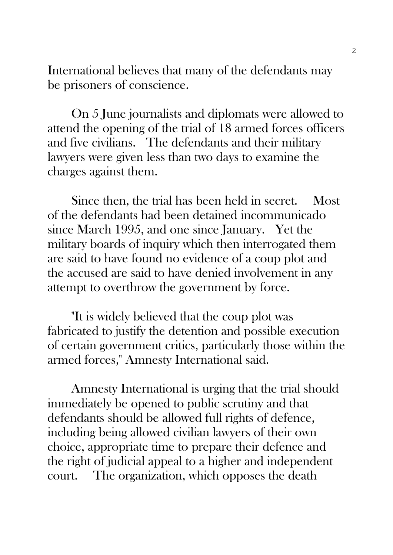International believes that many of the defendants may be prisoners of conscience.

On 5 June journalists and diplomats were allowed to attend the opening of the trial of 18 armed forces officers and five civilians. The defendants and their military lawyers were given less than two days to examine the charges against them.

Since then, the trial has been held in secret. Most of the defendants had been detained incommunicado since March 1995, and one since January. Yet the military boards of inquiry which then interrogated them are said to have found no evidence of a coup plot and the accused are said to have denied involvement in any attempt to overthrow the government by force.

"It is widely believed that the coup plot was fabricated to justify the detention and possible execution of certain government critics, particularly those within the armed forces," Amnesty International said.

Amnesty International is urging that the trial should immediately be opened to public scrutiny and that defendants should be allowed full rights of defence, including being allowed civilian lawyers of their own choice, appropriate time to prepare their defence and the right of judicial appeal to a higher and independent court. The organization, which opposes the death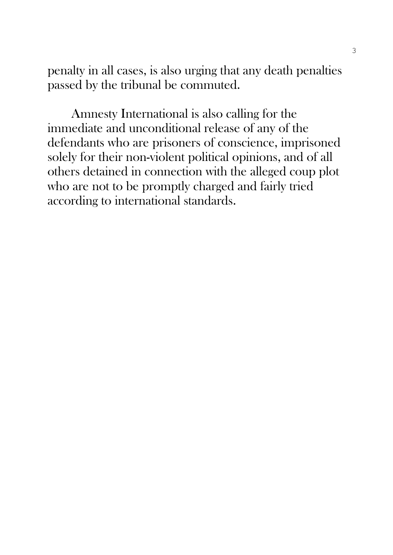penalty in all cases, is also urging that any death penalties passed by the tribunal be commuted.

Amnesty International is also calling for the immediate and unconditional release of any of the defendants who are prisoners of conscience, imprisoned solely for their non-violent political opinions, and of all others detained in connection with the alleged coup plot who are not to be promptly charged and fairly tried according to international standards.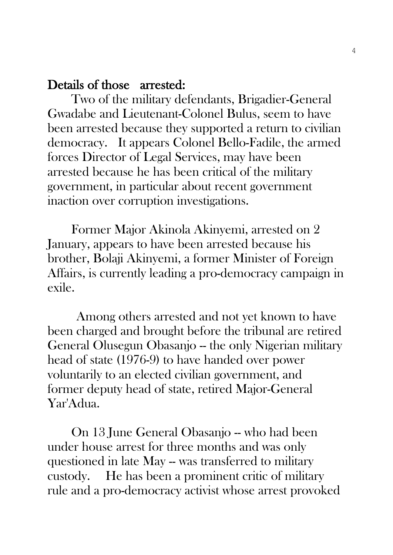## Details of those arrested:

Two of the military defendants, Brigadier-General Gwadabe and Lieutenant-Colonel Bulus, seem to have been arrested because they supported a return to civilian democracy. It appears Colonel Bello-Fadile, the armed forces Director of Legal Services, may have been arrested because he has been critical of the military government, in particular about recent government inaction over corruption investigations.

Former Major Akinola Akinyemi, arrested on 2 January, appears to have been arrested because his brother, Bolaji Akinyemi, a former Minister of Foreign Affairs, is currently leading a pro-democracy campaign in exile.

Among others arrested and not yet known to have been charged and brought before the tribunal are retired General Olusegun Obasanjo – the only Nigerian military head of state (1976-9) to have handed over power voluntarily to an elected civilian government, and former deputy head of state, retired Major-General Yar'Adua.

On 13 June General Obasanjo -- who had been under house arrest for three months and was only questioned in late May -- was transferred to military custody. He has been a prominent critic of military rule and a pro-democracy activist whose arrest provoked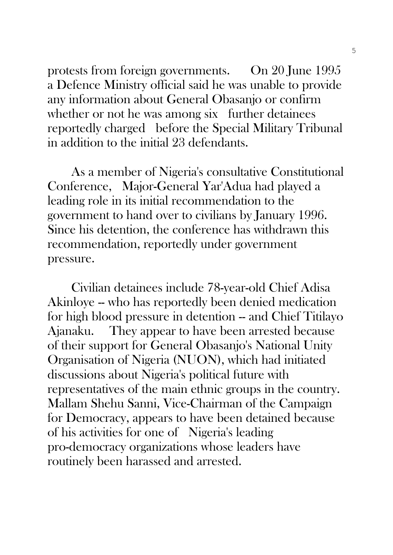protests from foreign governments. On 20 June 1995 a Defence Ministry official said he was unable to provide any information about General Obasanjo or confirm whether or not he was among six further detainees reportedly charged before the Special Military Tribunal in addition to the initial 23 defendants.

As a member of Nigeria's consultative Constitutional Conference, Major-General Yar'Adua had played a leading role in its initial recommendation to the government to hand over to civilians by January 1996. Since his detention, the conference has withdrawn this recommendation, reportedly under government pressure.

Civilian detainees include 78-year-old Chief Adisa Akinloye -- who has reportedly been denied medication for high blood pressure in detention -- and Chief Titilayo Ajanaku. They appear to have been arrested because of their support for General Obasanjo's National Unity Organisation of Nigeria (NUON), which had initiated discussions about Nigeria's political future with representatives of the main ethnic groups in the country. Mallam Shehu Sanni, Vice-Chairman of the Campaign for Democracy, appears to have been detained because of his activities for one of Nigeria's leading pro-democracy organizations whose leaders have routinely been harassed and arrested.